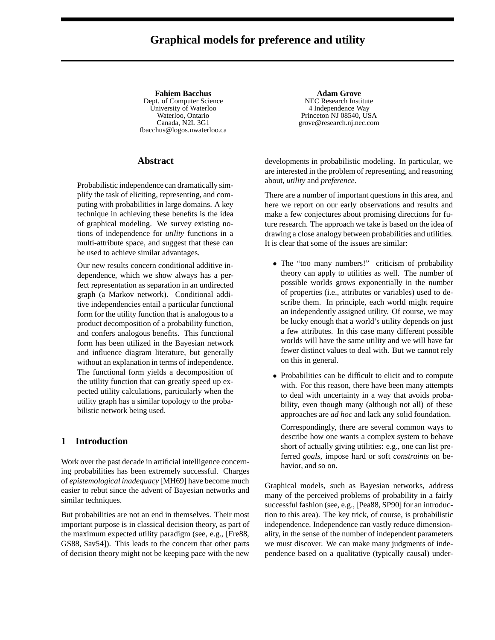# **Graphical models for preference and utility**

**Fahiem Bacchus** Dept. of Computer Science University of Waterloo Waterloo, Ontario Canada, N2L 3G1 fbacchus@logos.uwaterloo.ca

# **Abstract**

Probabilistic independence can dramatically simplify the task of eliciting, representing, and computing with probabilities in large domains. A key technique in achieving these benefits is the idea of graphical modeling. We survey existing notions of independence for *utility* functions in a multi-attribute space, and suggest that these can be used to achieve similar advantages.

Our new results concern conditional additive independence, which we show always has a perfect representation as separation in an undirected graph (a Markov network). Conditional additive independencies entail a particular functional form for the utility function that is analogous to a product decomposition of a probability function, and confers analogous benefits. This functional form has been utilized in the Bayesian network and influence diagram literature, but generally without an explanation in terms of independence. The functional form yields a decomposition of the utility function that can greatly speed up expected utility calculations, particularly when the utility graph has a similar topology to the probabilistic network being used.

### **1 Introduction**

Work over the past decade in artificial intelligence concerning probabilities has been extremely successful. Charges of *epistemological inadequacy* [MH69] have become much easier to rebut since the advent of Bayesian networks and similar techniques.

But probabilities are not an end in themselves. Their most important purpose is in classical decision theory, as part of the maximum expected utility paradigm (see, e.g., [Fre88, GS88, Sav54]). This leads to the concern that other parts of decision theory might not be keeping pace with the new

**Adam Grove** NEC Research Institute 4 Independence Way Princeton NJ 08540, USA grove@research.nj.nec.com

developments in probabilistic modeling. In particular, we are interested in the problem of representing, and reasoning about, *utility* and *preference*.

There are a number of important questions in this area, and here we report on our early observations and results and make a few conjectures about promising directions for future research. The approach we take is based on the idea of drawing a close analogy between probabilities and utilities. It is clear that some of the issues are similar:

- The "too many numbers!" criticism of probability theory can apply to utilities as well. The number of possible worlds grows exponentially in the number of properties (i.e., attributes or variables) used to describe them. In principle, each world might require an independently assigned utility. Of course, we may be lucky enough that a world's utility depends on just a few attributes. In this case many different possible worlds will have the same utility and we will have far fewer distinct values to deal with. But we cannot rely on this in general.
- Probabilities can be difficult to elicit and to compute with. For this reason, there have been many attempts to deal with uncertainty in a way that avoids probability, even though many (although not all) of these approaches are *ad hoc* and lack any solid foundation.

Correspondingly, there are several common ways to describe how one wants a complex system to behave short of actually giving utilities: e.g., one can list preferred *goals*, impose hard or soft *constraints* on behavior, and so on.

Graphical models, such as Bayesian networks, address many of the perceived problems of probability in a fairly successful fashion (see, e.g., [Pea88, SP90] for an introduction to this area). The key trick, of course, is probabilistic independence. Independence can vastly reduce dimensionality, in the sense of the number of independent parameters we must discover. We can make many judgments of independence based on a qualitative (typically causal) under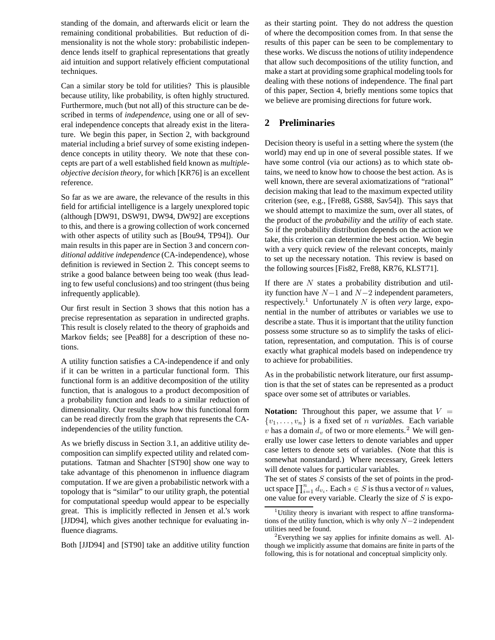standing of the domain, and afterwards elicit or learn the remaining conditional probabilities. But reduction of dimensionality is not the whole story: probabilistic independence lends itself to graphical representations that greatly aid intuition and support relatively efficient computational techniques.

Can a similar story be told for utilities? This is plausible because utility, like probability, is often highly structured. Furthermore, much (but not all) of this structure can be described in terms of *independence*, using one or all of several independence concepts that already exist in the literature. We begin this paper, in Section 2, with background material including a brief survey of some existing independence concepts in utility theory. We note that these concepts are part of a well established field known as *multipleobjective decision theory*, for which [KR76] is an excellent reference.

So far as we are aware, the relevance of the results in this field for artificial intelligence is a largely unexplored topic (although [DW91, DSW91, DW94, DW92] are exceptions to this, and there is a growing collection of work concerned with other aspects of utility such as [Bou94, TP94]). Our main results in this paper are in Section 3 and concern *conditional additive independence* (CA-independence), whose definition is reviewed in Section 2. This concept seems to strike a good balance between being too weak (thus leading to few useful conclusions) and too stringent (thus being infrequently applicable).

Our first result in Section 3 shows that this notion has a precise representation as separation in undirected graphs. This result is closely related to the theory of graphoids and Markov fields; see [Pea88] for a description of these notions.

A utility function satisfies a CA-independence if and only if it can be written in a particular functional form. This functional form is an additive decomposition of the utility function, that is analogous to a product decomposition of a probability function and leads to a similar reduction of dimensionality. Our results show how this functional form can be read directly from the graph that represents the CAindependencies of the utility function.

As we briefly discuss in Section 3.1, an additive utility decomposition can simplify expected utility and related computations. Tatman and Shachter [ST90] show one way to take advantage of this phenomenon in influence diagram computation. If we are given a probabilistic network with a topology that is "similar" to our utility graph, the potential for computational speedup would appear to be especially great. This is implicitly reflected in Jensen et al.'s work [JJD94], which gives another technique for evaluating influence diagrams.

Both [JJD94] and [ST90] take an additive utility function

as their starting point. They do not address the question of where the decomposition comes from. In that sense the results of this paper can be seen to be complementary to these works. We discuss the notions of utility independence that allow such decompositions of the utility function, and make a start at providing some graphical modeling tools for dealing with these notions of independence. The final part of this paper, Section 4, briefly mentions some topics that we believe are promising directions for future work.

# **2 Preliminaries**

Decision theory is useful in a setting where the system (the world) may end up in one of several possible states. If we have some control (via our actions) as to which state obtains, we need to know how to choose the best action. As is well known, there are several axiomatizations of "rational" decision making that lead to the maximum expected utility criterion (see, e.g., [Fre88, GS88, Sav54]). This says that we should attempt to maximize the sum, over all states, of the product of the *probability* and the *utility* of each state. So if the probability distribution depends on the action we take, this criterion can determine the best action. We begin with a very quick review of the relevant concepts, mainly to set up the necessary notation. This review is based on the following sources [Fis82, Fre88, KR76, KLST71].

If there are  $N$  states a probability distribution and utility function have  $N-1$  and  $N-2$  independent parameters, respectively.<sup>1</sup> Unfortunately N is often *very* large, exponential in the number of attributes or variables we use to describe a state. Thus it is important that the utility function possess some structure so as to simplify the tasks of elicitation, representation, and computation. This is of course exactly what graphical models based on independence try to achieve for probabilities.

As in the probabilistic network literature, our first assumption is that the set of states can be represented as a product space over some set of attributes or variables.

**Notation:** Throughout this paper, we assume that  $V =$  $\{v_1,\ldots,v_n\}$  is a fixed set of *n variables*. Each variable v has a domain  $d_v$  of two or more elements.<sup>2</sup> We will generally use lower case letters to denote variables and upper case letters to denote sets of variables. (Note that this is somewhat nonstandard.) Where necessary, Greek letters will denote values for particular variables.

The set of states  $S$  consists of the set of points in the product space  $\prod_{i=1}^{n} d_{v_i}$ . Each  $s \in S$  is thus a vector of *n* values,<br>one value for every variable. Clearly the size of *S* is expoone value for every variable. Clearly the size of  $S$  is expo-

<sup>&</sup>lt;sup>1</sup>Utility theory is invariant with respect to affine transformations of the utility function, which is why only N*−*<sup>2</sup> independent utilities need be found.

 $2$ Everything we say applies for infinite domains as well. Although we implicitly assume that domains are finite in parts of the following, this is for notational and conceptual simplicity only.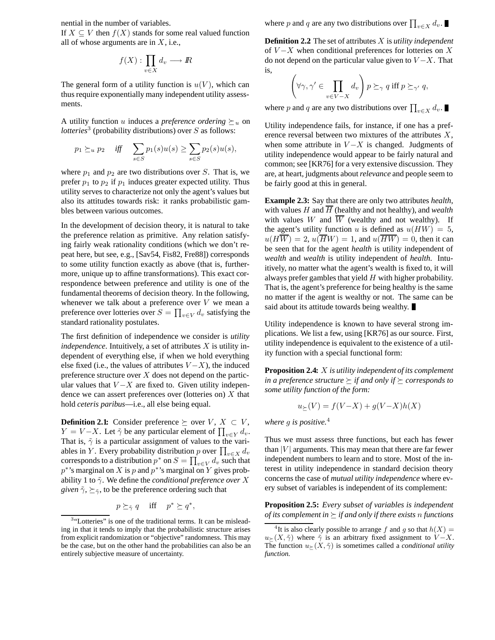nential in the number of variables.

If  $X \subseteq V$  then  $f(X)$  stands for some real valued function all of whose arguments are in  $X$ , i.e.,

$$
f(X): \prod_{v \in X} d_v \longrightarrow I\!\!R
$$

The general form of a utility function is  $u(V)$ , which can thus require exponentially many independent utility assessments.

A utility function u induces a *preference ordering*  $\succeq_u$  on *lotteries*<sup>3</sup> (probability distributions) over S as follows:

$$
p_1 \succeq_u p_2
$$
 iff  $\sum_{s \in S} p_1(s)u(s) \ge \sum_{s \in S} p_2(s)u(s)$ ,

where  $p_1$  and  $p_2$  are two distributions over S. That is, we prefer  $p_1$  to  $p_2$  if  $p_1$  induces greater expected utility. Thus utility serves to characterize not only the agent's values but also its attitudes towards risk: it ranks probabilistic gambles between various outcomes.

In the development of decision theory, it is natural to take the preference relation as primitive. Any relation satisfying fairly weak rationality conditions (which we don't repeat here, but see, e.g., [Sav54, Fis82, Fre88]) corresponds to some utility function exactly as above (that is, furthermore, unique up to affine transformations). This exact correspondence between preference and utility is one of the fundamental theorems of decision theory. In the following, whenever we talk about a preference over  $V$  we mean a preference over lotteries over  $S = \prod_{v \in V} d_v$  satisfying the standard rationality postulates standard rationality postulates.

The first definition of independence we consider is *utility*  $independence$ . Intuitively, a set of attributes  $X$  is utility independent of everything else, if when we hold everything else fixed (i.e., the values of attributes  $V - X$ ), the induced preference structure over  $X$  does not depend on the particular values that  $V - X$  are fixed to. Given utility independence we can assert preferences over (lotteries on)  $X$  that hold *ceteris paribus*—i.e., all else being equal.

**Definition 2.1:** Consider preference  $\succeq$  over  $V, X \subset V$ ,  $Y = V - X$ . Let  $\tilde{\gamma}$  be any particular element of  $\prod_{v \in Y} d_v$ .<br>That is  $\tilde{\gamma}$  is a particular assignment of values to the vari-That is,  $\tilde{\gamma}$  is a particular assignment of values to the variables in Y. Every probability distribution p over  $\prod_{v \in X} d_v$ <br>corresponds to a distribution  $p^*$  on  $S - \Pi$  and such that corresponds to a distribution  $p^*$  on  $S = \prod_{v \in V} d_v$  such that  $p^*$ 's marginal on  $V$  gives prob $p^*$ 's marginal on X is p and  $p^*$ 's marginal on Y gives probability 1 to  $\tilde{\gamma}$ . We define the *conditional preference over* X *given*  $\tilde{\gamma}$ ,  $\succeq_{\tilde{\gamma}}$ , to be the preference ordering such that

$$
p \succeq_{\tilde{\gamma}} q \quad \text{iff} \quad p^* \succeq q^*,
$$

where p and q are any two distributions over  $\prod_{v \in X} d_v$ .

**Definition 2.2** The set of attributes X is *utility independent* of  $V-X$  when conditional preferences for lotteries on X do not depend on the particular value given to  $V - X$ . That is,

$$
\left(\forall \gamma, \gamma' \in \prod_{v \in V-X} d_v\right) p \succeq_{\gamma} q \text{ iff } p \succeq_{\gamma'} q,
$$

where p and q are any two distributions over  $\prod_{v \in X} d_v$ .

Utility independence fails, for instance, if one has a preference reversal between two mixtures of the attributes X, when some attribute in  $V-X$  is changed. Judgments of utility independence would appear to be fairly natural and common; see [KR76] for a very extensive discussion. They are, at heart, judgments about*relevance* and people seem to be fairly good at this in general.

**Example 2.3:** Say that there are only two attributes *health*, with values  $H$  and  $\overline{H}$  (healthy and not healthy), and *wealth* with values W and  $\overline{W}$  (wealthy and not wealthy). If the agent's utility function u is defined as  $u(HW)=5$ ,  $u(H\overline{W})=2$ ,  $u(\overline{H}W)=1$ , and  $u(\overline{HW})=0$ , then it can be seen that for the agent *health* is utility independent of *wealth* and *wealth* is utility independent of *health*. Intuitively, no matter what the agent's wealth is fixed to, it will always prefer gambles that yield H with higher probability. That is, the agent's preference for being healthy is the same no matter if the agent is wealthy or not. The same can be said about its attitude towards being wealthy.

Utility independence is known to have several strong implications. We list a few, using [KR76] as our source. First, utility independence is equivalent to the existence of a utility function with a special functional form:

**Proposition 2.4:** X *is utility independent of its complement in a preference structure*  $\succeq$  *if and only if*  $\succeq$  *corresponds to some utility function of the form:*

$$
u_{\succeq}(V) = f(V\!-\!X) + g(V\!-\!X)h(X)
$$

*where* g *is positive.*<sup>4</sup>

Thus we must assess three functions, but each has fewer than  $|V|$  arguments. This may mean that there are far fewer independent numbers to learn and to store. Most of the interest in utility independence in standard decision theory concerns the case of *mutual utility independence* where every subset of variables is independent of its complement:

**Proposition 2.5:** *Every subset of variables is independent of its complement in*  $\succeq$  *if and only if there exists n functions* 

<sup>&</sup>lt;sup>3</sup>"Lotteries" is one of the traditional terms. It can be misleading in that it tends to imply that the probabilistic structure arises from explicit randomization or "objective" randomness. This may be the case, but on the other hand the probabilities can also be an entirely subjective measure of uncertainty.

<sup>&</sup>lt;sup>4</sup>It is also clearly possible to arrange f and g so that  $h(X) =$  $u \geq (X, \gamma)$  where  $\gamma$  is an aroundy need assignment to  $v \to X$ .<br>The function  $u \geq (X, \tilde{\gamma})$  is sometimes called a *conditional utility*  $u_{\succeq}(X, \tilde{\gamma})$  where  $\tilde{\gamma}$  is an arbitrary fixed assignment to  $V - X$ . *function.*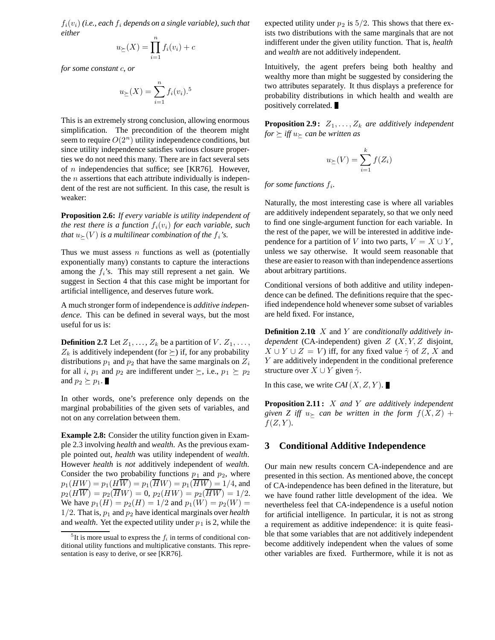$f_i(v_i)$  (i.e., each  $f_i$  depends on a single variable), such that *either*

$$
u_{\succeq}(X) = \prod_{i=1}^{n} f_i(v_i) + c
$$

*for some constant* c*, or*

$$
u_{\ge}(X) = \sum_{i=1}^{n} f_i(v_i).
$$
<sup>5</sup>

This is an extremely strong conclusion, allowing enormous simplification. The precondition of the theorem might seem to require  $O(2<sup>n</sup>)$  utility independence conditions, but since utility independence satisfies various closure properties we do not need this many. There are in fact several sets of  $n$  independencies that suffice; see [KR76]. However, the  $n$  assertions that each attribute individually is independent of the rest are not sufficient. In this case, the result is weaker:

**Proposition 2.6:** *If every variable is utility independent of the rest there is a function*  $f_i(v_i)$  *for each variable, such that*  $u_{\succeq}(V)$  *is a multilinear combination of the f<sub>i</sub>'s.* 

Thus we must assess  $n$  functions as well as (potentially exponentially many) constants to capture the interactions among the  $f_i$ 's. This may still represent a net gain. We suggest in Section 4 that this case might be important for artificial intelligence, and deserves future work.

A much stronger form of independence is *additive independence*. This can be defined in several ways, but the most useful for us is:

**Definition 2.7**: Let  $Z_1, \ldots, Z_k$  be a partition of  $V$ .  $Z_1, \ldots, Z_k$  $Z_k$  is additively independent (for  $\succeq$ ) if, for any probability distributions  $p_1$  and  $p_2$  that have the same marginals on  $Z_i$ for all i,  $p_1$  and  $p_2$  are indifferent under  $\succeq$ , i.e.,  $p_1 \succeq p_2$ and  $p_2 \succeq p_1$ .

In other words, one's preference only depends on the marginal probabilities of the given sets of variables, and not on any correlation between them.

**Example 2.8:** Consider the utility function given in Example 2.3 involving *health* and *wealth*. As the previous example pointed out, *health* was utility independent of *wealth*. However *health* is *not* additively independent of *wealth*. Consider the two probability functions  $p_1$  and  $p_2$ , where  $p_1(HW) = p_1(H\overline{W}) = p_1(\overline{HW}) = p_1(\overline{HW}) = 1/4$ , and  $p_2(H\overline{W}) = p_2(\overline{H}W) = 0, p_2(HW) = p_2(\overline{HW}) = 1/2.$ We have  $p_1(H) = p_2(H) = 1/2$  and  $p_1(W) = p_2(W) =$ 1/2. That is,  $p_1$  and  $p_2$  have identical marginals over *health* and *wealth*. Yet the expected utility under  $p_1$  is 2, while the expected utility under  $p_2$  is  $5/2$ . This shows that there exists two distributions with the same marginals that are not indifferent under the given utility function. That is, *health* and *wealth* are not additively independent.

Intuitively, the agent prefers being both healthy and wealthy more than might be suggested by considering the two attributes separately. It thus displays a preference for probability distributions in which health and wealth are positively correlated.

**Proposition 2.9:**  $Z_1, \ldots, Z_k$  *are additively independent for*  $\succeq$  *iff*  $u_{\succeq}$  *can be written as* 

$$
u_{\succeq}(V) = \sum_{i=1}^{k} f(Z_i)
$$

*for some functions*  $f_i$ .

Naturally, the most interesting case is where all variables are additively independent separately, so that we only need to find one single-argument function for each variable. In the rest of the paper, we will be interested in additive independence for a partition of V into two parts,  $V = X \cup Y$ , unless we say otherwise. It would seem reasonable that these are easier to reason with than independence assertions about arbitrary partitions.

Conditional versions of both additive and utility independence can be defined. The definitions require that the specified independence hold whenever some subset of variables are held fixed. For instance,

**Definition 2.10:** X and Y are *conditionally additively independent* (CA-independent) given Z (X, Y, Z disjoint,  $X \cup Y \cup Z = V$ ) iff, for any fixed value  $\tilde{\gamma}$  of Z, X and Y are additively independent in the conditional preference structure over  $X \cup Y$  given  $\tilde{\gamma}$ .

In this case, we write  $CAI(X, Z, Y)$ .

**Proposition 2.11 :** X *and* Y *are additively independent* given Z iff  $u \succ$  can be written in the form  $f(X, Z)$  +  $f(Z, Y)$ .

### **3 Conditional Additive Independence**

Our main new results concern CA-independence and are presented in this section. As mentioned above, the concept of CA-independence has been defined in the literature, but we have found rather little development of the idea. We nevertheless feel that CA-independence is a useful notion for artificial intelligence. In particular, it is not as strong a requirement as additive independence: it is quite feasible that some variables that are not additively independent become additively independent when the values of some other variables are fixed. Furthermore, while it is not as

 ${}^{5}$ It is more usual to express the  $f_i$  in terms of conditional conditional utility functions and multiplicative constants. This representation is easy to derive, or see [KR76].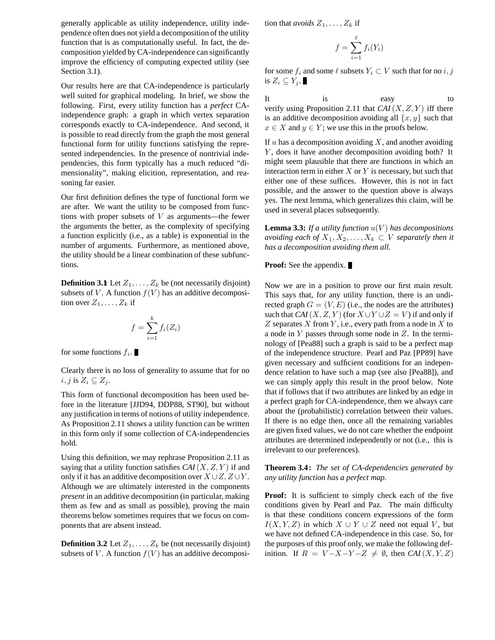generally applicable as utility independence, utility independence often does not yield a decomposition of the utility function that is as computationally useful. In fact, the decomposition yielded by CA-independence can significantly improve the efficiency of computing expected utility (see Section 3.1).

Our results here are that CA-independence is particularly well suited for graphical modeling. In brief, we show the following. First, every utility function has a *perfect* CAindependence graph: a graph in which vertex separation corresponds exactly to CA-independence. And second, it is possible to read directly from the graph the most general functional form for utility functions satisfying the represented independencies. In the presence of nontrivial independencies, this form typically has a much reduced "dimensionality", making elicition, representation, and reasoning far easier.

Our first definition defines the type of functional form we are after. We want the utility to be composed from functions with proper subsets of  $V$  as arguments—the fewer the arguments the better, as the complexity of specifying a function explicitly (i.e., as a table) is exponential in the number of arguments. Furthermore, as mentioned above, the utility should be a linear combination of these subfunctions.

**Definition 3.1:** Let  $Z_1, \ldots, Z_k$  be (not necessarily disjoint) subsets of V. A function  $f(V)$  has an additive decomposition over  $Z_1, \ldots, Z_k$  if

$$
f = \sum_{i=1}^{k} f_i(Z_i)
$$

for some functions  $f_i$ .

Clearly there is no loss of generality to assume that for no  $i, j$  is  $Z_i \subseteq Z_j$ .

This form of functional decomposition has been used before in the literature [JJD94, DDP88, ST90], but without any justification in terms of notions of utility independence. As Proposition 2.11 shows a utility function can be written in this form only if some collection of CA-independencies hold.

Using this definition, we may rephrase Proposition 2.11 as saying that a utility function satisfies  $CAI(X, Z, Y)$  if and only if it has an additive decomposition over  $X \cup Z$ ,  $Z \cup Y$ . Although we are ultimately interested in the components *present* in an additive decomposition (in particular, making them as few and as small as possible), proving the main theorems below sometimes requires that we focus on components that are absent instead.

**Definition 3.2** Let  $Z_1, \ldots, Z_k$  be (not necessarily disjoint) subsets of V. A function  $f(V)$  has an additive decomposition that *avoids*  $Z_1, \ldots, Z_k$  if

$$
f = \sum_{i=1}^{\ell} f_i(Y_i)
$$

for some  $f_i$  and some  $\ell$  subsets  $Y_i \subset V$  such that for no  $i, j$ is  $Z_i \subseteq Y_j$ .

It is easy to verify using Proposition 2.11 that  $CAI(X, Z, Y)$  iff there is an additive decomposition avoiding all  $\{x, y\}$  such that  $x \in X$  and  $y \in Y$ ; we use this in the proofs below.

If  $u$  has a decomposition avoiding  $X$ , and another avoiding Y, does it have another decomposition avoiding both? It might seem plausible that there are functions in which an interaction term in either  $X$  or  $Y$  is necessary, but such that either one of these suffices. However, this is not in fact possible, and the answer to the question above is always yes. The next lemma, which generalizes this claim, will be used in several places subsequently.

**Lemma 3.3:** If a utility function  $u(V)$  has decompositions *avoiding each of*  $X_1, X_2, \ldots, X_k \subset V$  *separately then it has a decomposition avoiding them all.*

### **Proof:** See the appendix.

Now we are in a position to prove our first main result. This says that, for any utility function, there is an undirected graph  $G = (V, E)$  (i.e., the nodes are the attributes) such that *CAI*(*X*, *Z*, *Y*) (for  $X \cup Y \cup Z = V$ ) if and only if  $Z$  separates  $X$  from  $Y$ , i.e., every path from a node in  $X$  to a node in  $Y$  passes through some node in  $Z$ . In the terminology of [Pea88] such a graph is said to be a perfect map of the independence structure. Pearl and Paz [PP89] have given necessary and sufficient conditions for an independence relation to have such a map (see also [Pea88]), and we can simply apply this result in the proof below. Note that if follows that if two attributes are linked by an edge in a perfect graph for CA-independence, then we always care about the (probabilistic) correlation between their values. If there is no edge then, once all the remaining variables are given fixed values, we do not care whether the endpoint attributes are determined independently or not (i.e., this is irrelevant to our preferences).

**Theorem 3.4 :** *The set of CA-dependencies generated by any utility function has a perfect map.*

**Proof:** It is sufficient to simply check each of the five conditions given by Pearl and Paz. The main difficulty is that these conditions concern expressions of the form  $I(X, Y, Z)$  in which  $X \cup Y \cup Z$  need not equal V, but we have not defined CA-independence in this case. So, for the purposes of this proof only, we make the following definition. If  $R = V-X-Y-Z \neq \emptyset$ , then  $CAI(X, Y, Z)$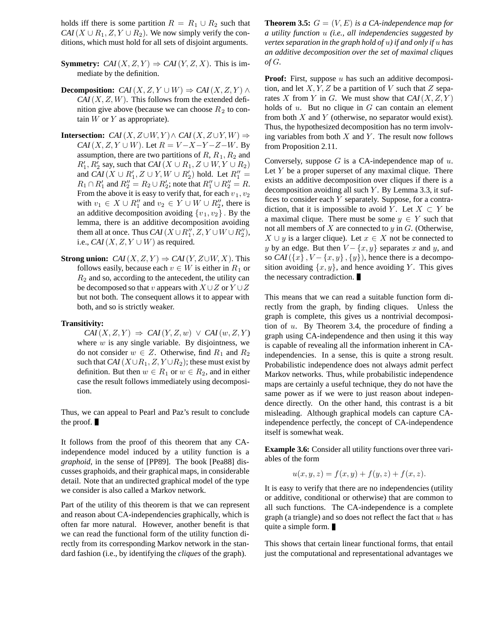holds iff there is some partition  $R = R_1 \cup R_2$  such that *CAI*( $X \cup R_1, Z, Y \cup R_2$ ). We now simply verify the conditions, which must hold for all sets of disjoint arguments.

- **Symmetry:** *CAI*(*X*, *Z*, *Y*)  $\Rightarrow$  *CAI*(*Y*, *Z*, *X*). This is immediate by the definition.
- **Decomposition:** *CAI*(*X*, *Z*, *Y*  $\cup$  *W*)  $\Rightarrow$  *CAI*(*X*, *Z*, *Y*)  $\wedge$  $CAI(X, Z, W)$ . This follows from the extended definition give above (because we can choose  $R_2$  to contain  $W$  or  $Y$  as appropriate).
- **Intersection:** *CAI*(*X*, *Z*∪*W*, *Y*)∧ *CAI*(*X*, *Z*∪*Y*, *W*)  $\Rightarrow$ *CAI*(*X*, *Z*, *Y*  $\cup$  *W*). Let  $R = V - X - Y - Z - W$ . By assumption, there are two partitions of  $R$ ,  $R_1$ ,  $R_2$  and  $R'_1, R'_2$  say, such that  $CAI(X \cup R_1, Z \cup W, Y \cup R_2)$ and  $CAI(X \cup R'_1, Z \cup Y, W \cup R'_2)$  hold. Let  $R''_1$  =  $R_1 \cap R'_1$  and  $R''_2 = R_2 \cup R'_2$ ; note that  $R''_1 \cup R''_2 = R$ . From the above it is easy to verify that, for each  $v_1, v_2$ with  $v_1 \in X \cup R_1''$  and  $v_2 \in Y \cup W \cup R_2''$ , there is an additive decomposition avoiding  $\{v_1, v_2\}$ . By the lemma, there is an additive decomposition avoiding them all at once. Thus  $CAI(X \cup R''_1, Z, Y \cup W \cup R''_2)$ , i.e.,  $CAI(X, Z, Y \cup W)$  as required.
- **Strong union:** *CAI*(*X*, *Z*, *Y*)  $\Rightarrow$  *CAI*(*Y*, *Z* $\cup$ *W*, *X*). This follows easily, because each  $v \in W$  is either in  $R_1$  or  $R_2$  and so, according to the antecedent, the utility can be decomposed so that v appears with  $X \cup Z$  or  $Y \cup Z$ but not both. The consequent allows it to appear with both, and so is strictly weaker.

#### **Transitivity:**

 $CAI(X, Z, Y) \Rightarrow CAI(Y, Z, w) \vee CAI(w, Z, Y)$ where  $w$  is any single variable. By disjointness, we do not consider  $w \in Z$ . Otherwise, find  $R_1$  and  $R_2$ such that  $CAI(X \cup R_1, Z, Y \cup R_2)$ ; these must exist by definition. But then  $w \in R_1$  or  $w \in R_2$ , and in either case the result follows immediately using decomposition.

Thus, we can appeal to Pearl and Paz's result to conclude the proof.

It follows from the proof of this theorem that any CAindependence model induced by a utility function is a *graphoid*, in the sense of [PP89]. The book [Pea88] discusses graphoids, and their graphical maps, in considerable detail. Note that an undirected graphical model of the type we consider is also called a Markov network.

Part of the utility of this theorem is that we can represent and reason about CA-independencies graphically, which is often far more natural. However, another benefit is that we can read the functional form of the utility function directly from its corresponding Markov network in the standard fashion (i.e., by identifying the *cliques* of the graph).

**Theorem 3.5:**  $G = (V, E)$  *is a CA-independence map for a utility function* u *(i.e., all independencies suggested by vertex separation in the graph hold of* u*) if and only if* u *has an additive decomposition over the set of maximal cliques of* G*.*

**Proof:** First, suppose u has such an additive decomposition, and let  $X, Y, Z$  be a partition of V such that Z separates X from Y in G. We must show that  $CAI(X, Z, Y)$ holds of  $u$ . But no clique in  $G$  can contain an element from both  $X$  and  $Y$  (otherwise, no separator would exist). Thus, the hypothesized decomposition has no term involving variables from both  $X$  and  $Y$ . The result now follows from Proposition 2.11.

Conversely, suppose  $G$  is a CA-independence map of  $u$ . Let  $Y$  be a proper superset of any maximal clique. There exists an additive decomposition over cliques if there is a decomposition avoiding all such  $Y$ . By Lemma 3.3, it suffices to consider each Y separately. Suppose, for a contradiction, that it is impossible to avoid Y. Let  $X \subset Y$  be a maximal clique. There must be some  $y \in Y$  such that not all members of  $X$  are connected to  $y$  in  $G$ . (Otherwise,  $X \cup y$  is a larger clique). Let  $x \in X$  not be connected to y by an edge. But then  $V - \{x, y\}$  separates x and y, and so  $CAI({x}, V - {x}, y, {y})$ , hence there is a decomposition avoiding  $\{x, y\}$ , and hence avoiding Y. This gives the necessary contradiction.

This means that we can read a suitable function form directly from the graph, by finding cliques. Unless the graph is complete, this gives us a nontrivial decomposition of  $u$ . By Theorem 3.4, the procedure of finding a graph using CA-independence and then using it this way is capable of revealing all the information inherent in CAindependencies. In a sense, this is quite a strong result. Probabilistic independence does not always admit perfect Markov networks. Thus, while probabilistic independence maps are certainly a useful technique, they do not have the same power as if we were to just reason about independence directly. On the other hand, this contrast is a bit misleading. Although graphical models can capture CAindependence perfectly, the concept of CA-independence itself is somewhat weak.

**Example 3.6:** Consider all utility functions over three variables of the form

$$
u(x, y, z) = f(x, y) + f(y, z) + f(x, z).
$$

It is easy to verify that there are no independencies (utility or additive, conditional or otherwise) that are common to all such functions. The CA-independence is a complete graph (a triangle) and so does not reflect the fact that  $u$  has quite a simple form.

This shows that certain linear functional forms, that entail just the computational and representational advantages we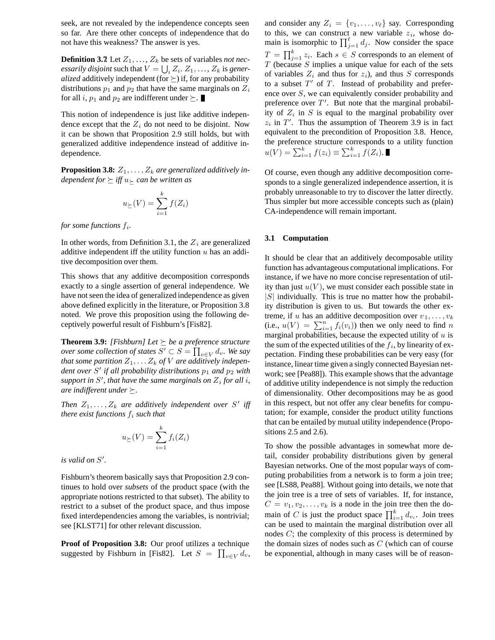seek, are not revealed by the independence concepts seen so far. Are there other concepts of independence that do not have this weakness? The answer is yes.

**Definition 3.7:** Let  $Z_1, \ldots, Z_k$  be sets of variables *not necessarily disjoint* such that  $V = \bigcup_i Z_i, Z_1, \ldots, Z_k$  is *gener-*<br>*alized* additively independent (for  $\succ$ ) if for any probability *alized* additively independent (for  $\succeq$ ) if, for any probability distributions  $p_1$  and  $p_2$  that have the same marginals on  $Z_i$ for all i,  $p_1$  and  $p_2$  are indifferent under  $\succeq$ .

This notion of independence is just like additive independence except that the  $Z_i$  do not need to be disjoint. Now it can be shown that Proposition 2.9 still holds, but with generalized additive independence instead of additive independence.

**Proposition 3.8:**  $Z_1, \ldots, Z_k$  *are generalized additively independent for*  $\succeq$  *iff*  $u_{\succeq}$  *can be written as* 

$$
u_{\succeq}(V) = \sum_{i=1}^{k} f(Z_i)
$$

*for some functions* <sup>f</sup>i*.*

In other words, from Definition 3.1, the  $Z_i$  are generalized additive independent iff the utility function  $u$  has an additive decomposition over them.

This shows that any additive decomposition corresponds exactly to a single assertion of general independence. We have not seen the idea of generalized independence as given above defined explicitly in the literature, or Proposition 3.8 noted. We prove this proposition using the following deceptively powerful result of Fishburn's [Fis82].

**Theorem 3.9:** *[Fishburn] Let*  $\succeq$  *be a preference structure over some collection of states*  $S' \subset S = \prod_{v \in V} d_v$ . We say *that some partition*  $Z_1, \ldots, Z_k$  *of V are additively independent over* S' *if all probability distributions*  $p_1$  *and*  $p_2$  *with* support in S', that have the same marginals on  $Z_i$  for all *i*, and if formation  $\sum_i f(x_i)$ *are indifferent under*  $\succeq$ .

*Then*  $Z_1, \ldots, Z_k$  *are additively independent over* S' *iff there exist functions*  $f_i$  *such that* 

$$
u_{\succeq}(V) = \sum_{i=1}^{k} f_i(Z_i)
$$

*is valid on* S *.*

Fishburn's theorem basically says that Proposition 2.9 continues to hold over *subsets* of the product space (with the appropriate notions restricted to that subset). The ability to restrict to a subset of the product space, and thus impose fixed interdependencies among the variables, is nontrivial; see [KLST71] for other relevant discussion.

**Proof of Proposition 3.8:** Our proof utilizes a technique suggested by Fishburn in [Fis82]. Let  $S = \prod_{v \in V} d_v$ ,

and consider any  $Z_i = \{v_1, \ldots, v_\ell\}$  say. Corresponding to this, we can construct a new variable  $z_i$ , whose domain is isomorphic to  $\prod_{j=1}^{t} d_j$ . Now consider the space  $T = \prod_{i=1}^{k} z_i$ . Each  $s \in S$  corresponds to an element of  $T$  (because S implies a unique value for each of the sets  $T$  (because  $S$  implies a unique value for each of the sets of variables  $Z_i$  and thus for  $z_i$ ), and thus S corresponds to a subset  $T'$  of  $T$ . Instead of probability and preference over S, we can equivalently consider probability and preference over  $T'$ . But note that the marginal probability of  $Z_i$  in S is equal to the marginal probability over  $z_i$  in T'. Thus the assumption of Theorem 3.9 is in fact<br>conjugator to the presentition of Proposition 2.8. Hence equivalent to the precondition of Proposition 3.8. Hence, the preference structure corresponds to a utility function  $u(V) = \sum_{i=1}^{k} f(z_i) \equiv \sum_{i=1}^{k} f(Z_i).$ 

Of course, even though any additive decomposition corresponds to a single generalized independence assertion, it is probably unreasonable to try to discover the latter directly. Thus simpler but more accessible concepts such as (plain) CA-independence will remain important.

#### **3.1 Computation**

It should be clear that an additively decomposable utility function has advantageous computational implications. For instance, if we have no more concise representation of utility than just  $u(V)$ , we must consider each possible state in  $|S|$  individually. This is true no matter how the probability distribution is given to us. But towards the other extreme, if u has an additive decomposition over  $v_1, \ldots, v_k$ (i.e.,  $u(V) = \sum_{i=1}^{n} f_i(v_i)$ ) then we only need to find n<br>marginal probabilities because the expected utility of u is marginal probabilities, because the expected utility of  $u$  is the sum of the expected utilities of the  $f_i$ , by linearity of expectation. Finding these probabilities can be very easy (for instance, linear time given a singly connected Bayesian network; see [Pea88]). This example shows that the advantage of additive utility independence is not simply the reduction of dimensionality. Other decompositions may be as good in this respect, but not offer any clear benefits for computation; for example, consider the product utility functions that can be entailed by mutual utility independence (Propositions 2.5 and 2.6).

To show the possible advantages in somewhat more detail, consider probability distributions given by general Bayesian networks. One of the most popular ways of computing probabilities from a network is to form a join tree; see [LS88, Pea88]. Without going into details, we note that the join tree is a tree of sets of variables. If, for instance,  $C = v_1, v_2, \ldots, v_k$  is a node in the join tree then the domain of C is just the product space  $\prod_{i=1}^{k} d_{v_i}$ . Join trees can be used to maintain the marginal distribution over all nodes C; the complexity of this process is determined by the domain sizes of nodes such as  $C$  (which can of course be exponential, although in many cases will be of reason-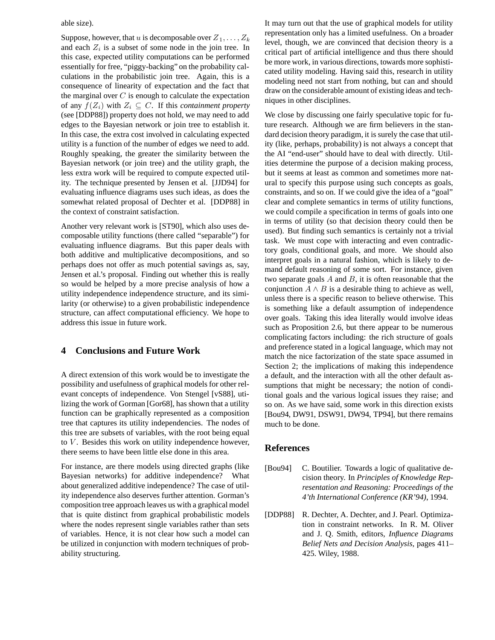#### able size).

Suppose, however, that u is decomposable over  $Z_1, \ldots, Z_k$ and each  $Z_i$  is a subset of some node in the join tree. In this case, expected utility computations can be performed essentially for free, "piggy-backing" on the probability calculations in the probabilistic join tree. Again, this is a consequence of linearity of expectation and the fact that the marginal over  $C$  is enough to calculate the expectation of any  $f(Z_i)$  with  $Z_i \subseteq C$ . If this *containment property* (see [DDP88]) property does not hold, we may need to add edges to the Bayesian network or join tree to establish it. In this case, the extra cost involved in calculating expected utility is a function of the number of edges we need to add. Roughly speaking, the greater the similarity between the Bayesian network (or join tree) and the utility graph, the less extra work will be required to compute expected utility. The technique presented by Jensen et al. [JJD94] for evaluating influence diagrams uses such ideas, as does the somewhat related proposal of Dechter et al. [DDP88] in the context of constraint satisfaction.

Another very relevant work is [ST90], which also uses decomposable utility functions (there called "separable") for evaluating influence diagrams. But this paper deals with both additive and multiplicative decompositions, and so perhaps does not offer as much potential savings as, say, Jensen et al.'s proposal. Finding out whether this is really so would be helped by a more precise analysis of how a utility independence independence structure, and its similarity (or otherwise) to a given probabilistic independence structure, can affect computational efficiency. We hope to address this issue in future work.

# **4 Conclusions and Future Work**

A direct extension of this work would be to investigate the possibility and usefulness of graphical models for other relevant concepts of independence. Von Stengel [vS88], utilizing the work of Gorman [Gor68], has shown that a utility function can be graphically represented as a composition tree that captures its utility independencies. The nodes of this tree are subsets of variables, with the root being equal to  $V$ . Besides this work on utility independence however, there seems to have been little else done in this area.

For instance, are there models using directed graphs (like Bayesian networks) for additive independence? What about generalized additive independence? The case of utility independence also deserves further attention. Gorman's composition tree approach leaves us with a graphical model that is quite distinct from graphical probabilistic models where the nodes represent single variables rather than sets of variables. Hence, it is not clear how such a model can be utilized in conjunction with modern techniques of probability structuring.

It may turn out that the use of graphical models for utility representation only has a limited usefulness. On a broader level, though, we are convinced that decision theory is a critical part of artificial intelligence and thus there should be more work, in various directions, towards more sophisticated utility modeling. Having said this, research in utility modeling need not start from nothing, but can and should draw on the considerable amount of existing ideas and techniques in other disciplines.

We close by discussing one fairly speculative topic for future research. Although we are firm believers in the standard decision theory paradigm, it is surely the case that utility (like, perhaps, probability) is not always a concept that the AI "end-user" should have to deal with directly. Utilities determine the purpose of a decision making process, but it seems at least as common and sometimes more natural to specify this purpose using such concepts as goals, constraints, and so on. If we could give the idea of a "goal" clear and complete semantics in terms of utility functions, we could compile a specification in terms of goals into one in terms of utility (so that decision theory could then be used). But finding such semantics is certainly not a trivial task. We must cope with interacting and even contradictory goals, conditional goals, and more. We should also interpret goals in a natural fashion, which is likely to demand default reasoning of some sort. For instance, given two separate goals  $A$  and  $B$ , it is often reasonable that the conjunction  $A \wedge B$  is a desirable thing to achieve as well, unless there is a specific reason to believe otherwise. This is something like a default assumption of independence over goals. Taking this idea literally would involve ideas such as Proposition 2.6, but there appear to be numerous complicating factors including: the rich structure of goals and preference stated in a logical language, which may not match the nice factorization of the state space assumed in Section 2; the implications of making this independence a default, and the interaction with all the other default assumptions that might be necessary; the notion of conditional goals and the various logical issues they raise; and so on. As we have said, some work in this direction exists [Bou94, DW91, DSW91, DW94, TP94], but there remains much to be done.

### **References**

- [Bou94] C. Boutilier. Towards a logic of qualitative decision theory. In *Principles of Knowledge Representation and Reasoning: Proceedings of the 4'th International Conference (KR'94)*, 1994.
- [DDP88] R. Dechter, A. Dechter, and J. Pearl. Optimization in constraint networks. In R. M. Oliver and J. Q. Smith, editors, *Influence Diagrams Belief Nets and Decision Analysis*, pages 411– 425. Wiley, 1988.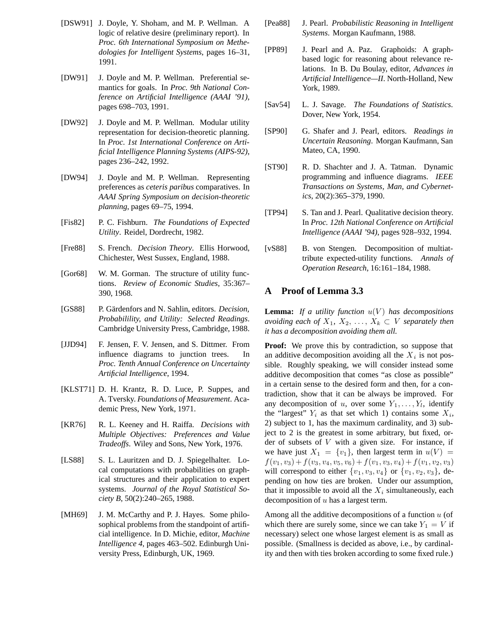- [DSW91] J. Doyle, Y. Shoham, and M. P. Wellman. A logic of relative desire (preliminary report). In *Proc. 6th International Symposium on Methedologies for Intelligent Systems*, pages 16–31, 1991.
- [DW91] J. Doyle and M. P. Wellman. Preferential semantics for goals. In *Proc. 9th National Conference on Artificial Intelligence (AAAI '91)*, pages 698–703, 1991.
- [DW92] J. Doyle and M. P. Wellman. Modular utility representation for decision-theoretic planning. In *Proc. 1st International Conference on Artificial Intelligence Planning Systems (AIPS-92)*, pages 236–242, 1992.
- [DW94] J. Doyle and M. P. Wellman. Representing preferences as *ceteris paribus* comparatives. In *AAAI Spring Symposium on decision-theoretic planning*, pages 69–75, 1994.
- [Fis82] P. C. Fishburn. *The Foundations of Expected Utility*. Reidel, Dordrecht, 1982.
- [Fre88] S. French. *Decision Theory*. Ellis Horwood, Chichester, West Sussex, England, 1988.
- [Gor68] W. M. Gorman. The structure of utility functions. *Review of Economic Studies*, 35:367– 390, 1968.
- [GS88] P. Gärdenfors and N. Sahlin, editors. *Decision*, *Probabilility, and Utility: Selected Readings*. Cambridge University Press, Cambridge, 1988.
- [JJD94] F. Jensen, F. V. Jensen, and S. Dittmer. From influence diagrams to junction trees. In *Proc. Tenth Annual Conference on Uncertainty Artificial Intelligence*, 1994.
- [KLST71] D. H. Krantz, R. D. Luce, P. Suppes, and A. Tversky. *Foundations of Measurement*. Academic Press, New York, 1971.
- [KR76] R. L. Keeney and H. Raiffa. *Decisions with Multiple Objectives: Preferences and Value Tradeoffs*. Wiley and Sons, New York, 1976.
- [LS88] S. L. Lauritzen and D. J. Spiegelhalter. Local computations with probabilities on graphical structures and their application to expert systems. *Journal of the Royal Statistical Society B*, 50(2):240–265, 1988.
- [MH69] J. M. McCarthy and P. J. Hayes. Some philosophical problems from the standpoint of artificial intelligence. In D. Michie, editor, *Machine Intelligence 4*, pages 463–502. Edinburgh University Press, Edinburgh, UK, 1969.
- [Pea88] J. Pearl. *Probabilistic Reasoning in Intelligent Systems*. Morgan Kaufmann, 1988.
- [PP89] J. Pearl and A. Paz. Graphoids: A graphbased logic for reasoning about relevance relations. In B. Du Boulay, editor, *Advances in Artificial Intelligence—II*. North-Holland, New York, 1989.
- [Sav54] L. J. Savage. *The Foundations of Statistics*. Dover, New York, 1954.
- [SP90] G. Shafer and J. Pearl, editors. *Readings in Uncertain Reasoning*. Morgan Kaufmann, San Mateo, CA, 1990.
- [ST90] R. D. Shachter and J. A. Tatman. Dynamic programming and influence diagrams. *IEEE Transactions on Systems, Man, and Cybernetics*, 20(2):365–379, 1990.
- [TP94] S. Tan and J. Pearl. Qualitative decision theory. In *Proc. 12th National Conference on Artificial Intelligence (AAAI '94)*, pages 928–932, 1994.
- [vS88] B. von Stengen. Decomposition of multiattribute expected-utility functions. *Annals of Operation Research*, 16:161–184, 1988.

# **A Proof of Lemma 3.3**

**Lemma:** If a utility function  $u(V)$  has decompositions *avoiding each of*  $X_1, X_2, \ldots, X_k \subset V$  *separately then it has a decomposition avoiding them all.*

**Proof:** We prove this by contradiction, so suppose that an additive decomposition avoiding all the  $X_i$  is not possible. Roughly speaking, we will consider instead some additive decomposition that comes "as close as possible" in a certain sense to the desired form and then, for a contradiction, show that it can be always be improved. For any decomposition of u, over some  $Y_1, \ldots, Y_l$ , identify the "largest"  $Y_i$  as that set which 1) contains some  $X_i$ , 2) subject to 1, has the maximum cardinality, and 3) subject to 2 is the greatest in some arbitrary, but fixed, order of subsets of  $V$  with a given size. For instance, if we have just  $X_1 = \{v_1\}$ , then largest term in  $u(V) =$  $f(v_1, v_3) + f(v_3, v_4, v_5, v_6) + f(v_1, v_3, v_4) + f(v_1, v_2, v_3)$ will correspond to either  $\{v_1, v_3, v_4\}$  or  $\{v_1, v_2, v_3\}$ , depending on how ties are broken. Under our assumption, that it impossible to avoid all the  $X_i$  simultaneously, each decomposition of  $u$  has a largest term.

Among all the additive decompositions of a function  $u$  (of which there are surely some, since we can take  $Y_1 = V$  if necessary) select one whose largest element is as small as possible. (Smallness is decided as above, i.e., by cardinality and then with ties broken according to some fixed rule.)